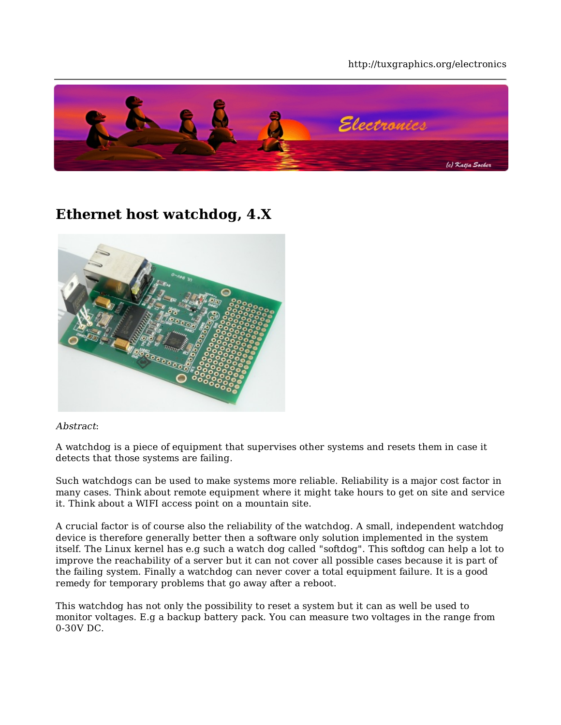#### http://tuxgraphics.org/electronics



## **Ethernet host watchdog, 4.X**



#### Abstract:

A watchdog is a piece of equipment that supervises other systems and resets them in case it detects that those systems are failing.

Such watchdogs can be used to make systems more reliable. Reliability is a major cost factor in many cases. Think about remote equipment where it might take hours to get on site and service it. Think about a WIFI access point on a mountain site.

A crucial factor is of course also the reliability of the watchdog. A small, independent watchdog device is therefore generally better then a software only solution implemented in the system itself. The Linux kernel has e.g such a watch dog called "softdog". This softdog can help a lot to improve the reachability of a server but it can not cover all possible cases because it is part of the failing system. Finally a watchdog can never cover a total equipment failure. It is a good remedy for temporary problems that go away after a reboot.

This watchdog has not only the possibility to reset a system but it can as well be used to monitor voltages. E.g a backup battery pack. You can measure two voltages in the range from 0-30V DC.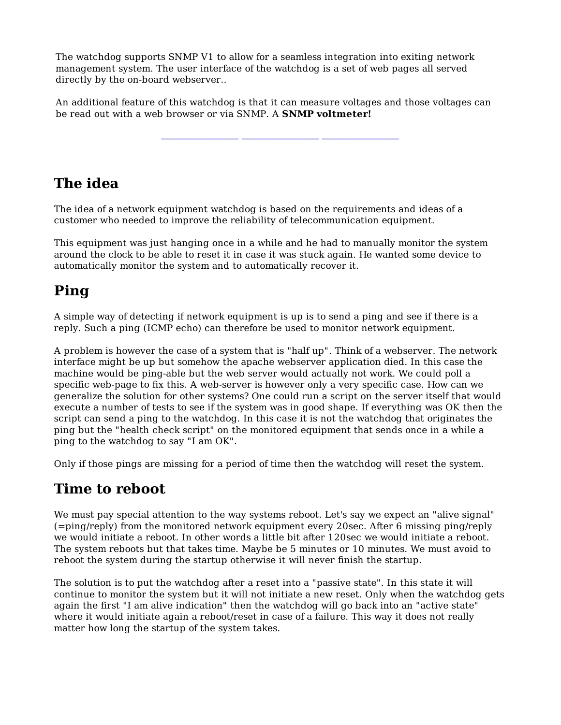The watchdog supports SNMP V1 to allow for a seamless integration into exiting network management system. The user interface of the watchdog is a set of web pages all served directly by the on-board webserver..

An additional feature of this watchdog is that it can measure voltages and those voltages can be read out with a web browser or via SNMP. A **SNMP voltmeter!**

**\_\_\_\_\_\_\_\_\_\_\_\_\_\_\_\_\_ \_\_\_\_\_\_\_\_\_\_\_\_\_\_\_\_\_ \_\_\_\_\_\_\_\_\_\_\_\_\_\_\_\_\_**

## **The idea**

The idea of a network equipment watchdog is based on the requirements and ideas of a customer who needed to improve the reliability of telecommunication equipment.

This equipment was just hanging once in a while and he had to manually monitor the system around the clock to be able to reset it in case it was stuck again. He wanted some device to automatically monitor the system and to automatically recover it.

# **Ping**

A simple way of detecting if network equipment is up is to send a ping and see if there is a reply. Such a ping (ICMP echo) can therefore be used to monitor network equipment.

A problem is however the case of a system that is "half up". Think of a webserver. The network interface might be up but somehow the apache webserver application died. In this case the machine would be ping-able but the web server would actually not work. We could poll a specific web-page to fix this. A web-server is however only a very specific case. How can we generalize the solution for other systems? One could run a script on the server itself that would execute a number of tests to see if the system was in good shape. If everything was OK then the script can send a ping to the watchdog. In this case it is not the watchdog that originates the ping but the "health check script" on the monitored equipment that sends once in a while a ping to the watchdog to say "I am OK".

Only if those pings are missing for a period of time then the watchdog will reset the system.

## **Time to reboot**

We must pay special attention to the way systems reboot. Let's say we expect an "alive signal" (=ping/reply) from the monitored network equipment every 20sec. After 6 missing ping/reply we would initiate a reboot. In other words a little bit after 120sec we would initiate a reboot. The system reboots but that takes time. Maybe be 5 minutes or 10 minutes. We must avoid to reboot the system during the startup otherwise it will never finish the startup.

The solution is to put the watchdog after a reset into a "passive state". In this state it will continue to monitor the system but it will not initiate a new reset. Only when the watchdog gets again the first "I am alive indication" then the watchdog will go back into an "active state" where it would initiate again a reboot/reset in case of a failure. This way it does not really matter how long the startup of the system takes.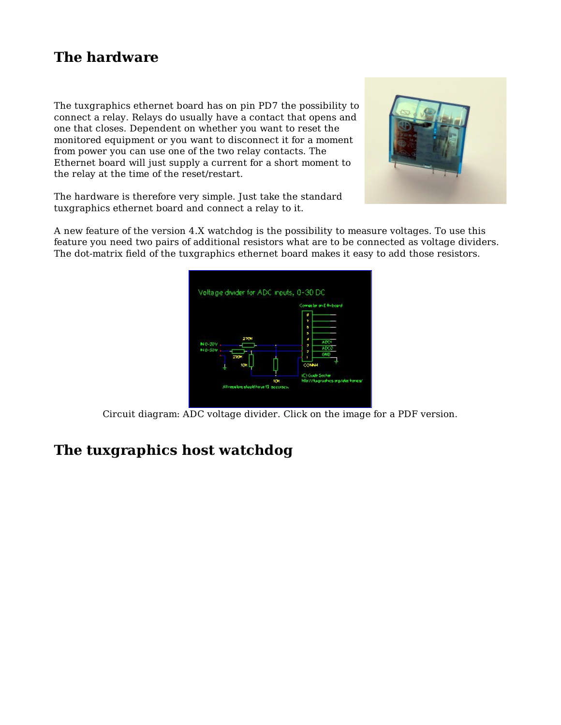## **The hardware**

The tuxgraphics ethernet board has on pin PD7 the possibility to connect a relay. Relays do usually have a contact that opens and one that closes. Dependent on whether you want to reset the monitored equipment or you want to disconnect it for a moment from power you can use one of the two relay contacts. The Ethernet board will just supply a current for a short moment to the relay at the time of the reset/restart.



The hardware is therefore very simple. Just take the standard tuxgraphics ethernet board and connect a relay to it.

A new feature of the version 4.X watchdog is the possibility to measure voltages. To use this feature you need two pairs of additional resistors what are to be connected as voltage dividers. The dot-matrix field of the tuxgraphics ethernet board makes it easy to add those resistors.



Circuit diagram: ADC voltage divider. Click on the image for a PDF version.

## **The tuxgraphics host watchdog**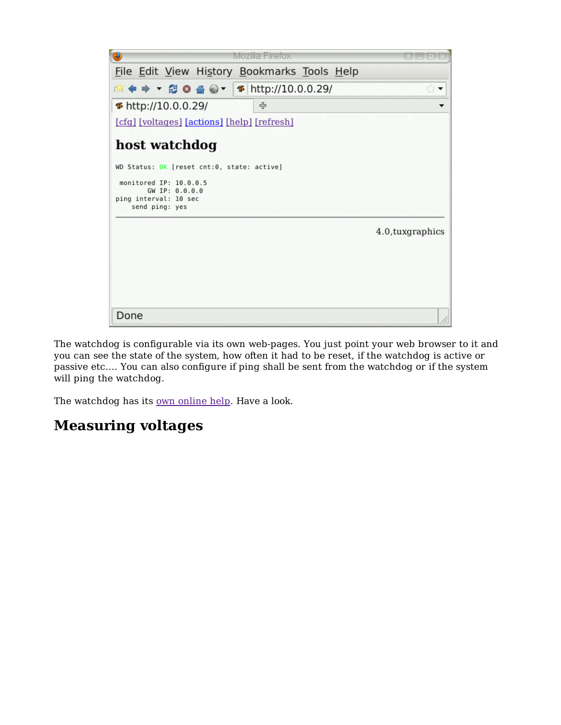

The watchdog is configurable via its own web-pages. You just point your web browser to it and you can see the state of the system, how often it had to be reset, if the watchdog is active or passive etc.... You can also configure if ping shall be sent from the watchdog or if the system will ping the watchdog.

The watchdog has its own online help. Have a look.

## **Measuring voltages**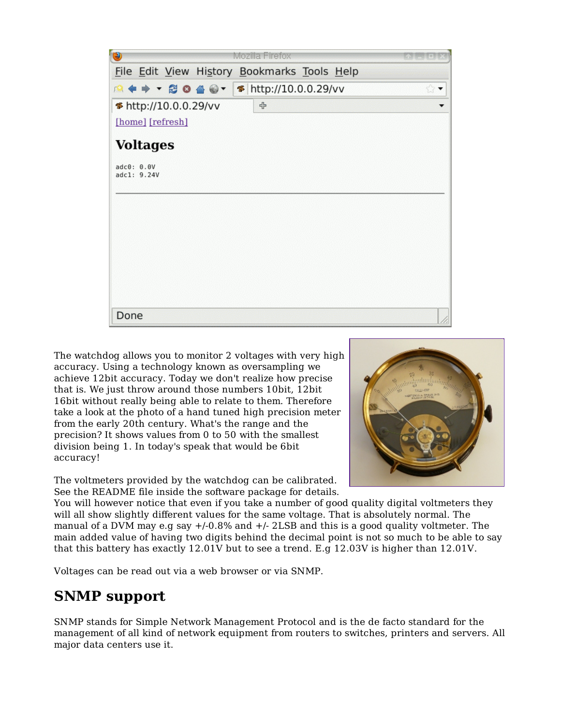

The watchdog allows you to monitor 2 voltages with very high accuracy. Using a technology known as oversampling we achieve 12bit accuracy. Today we don't realize how precise that is. We just throw around those numbers 10bit, 12bit 16bit without really being able to relate to them. Therefore take a look at the photo of a hand tuned high precision meter from the early 20th century. What's the range and the precision? It shows values from 0 to 50 with the smallest division being 1. In today's speak that would be 6bit accuracy!

The voltmeters provided by the watchdog can be calibrated. See the README file inside the software package for details.



You will however notice that even if you take a number of good quality digital voltmeters they will all show slightly different values for the same voltage. That is absolutely normal. The manual of a DVM may e.g say +/-0.8% and +/- 2LSB and this is a good quality voltmeter. The main added value of having two digits behind the decimal point is not so much to be able to say that this battery has exactly 12.01V but to see a trend. E.g 12.03V is higher than 12.01V.

Voltages can be read out via a web browser or via SNMP.

## **SNMP support**

SNMP stands for Simple Network Management Protocol and is the de facto standard for the management of all kind of network equipment from routers to switches, printers and servers. All major data centers use it.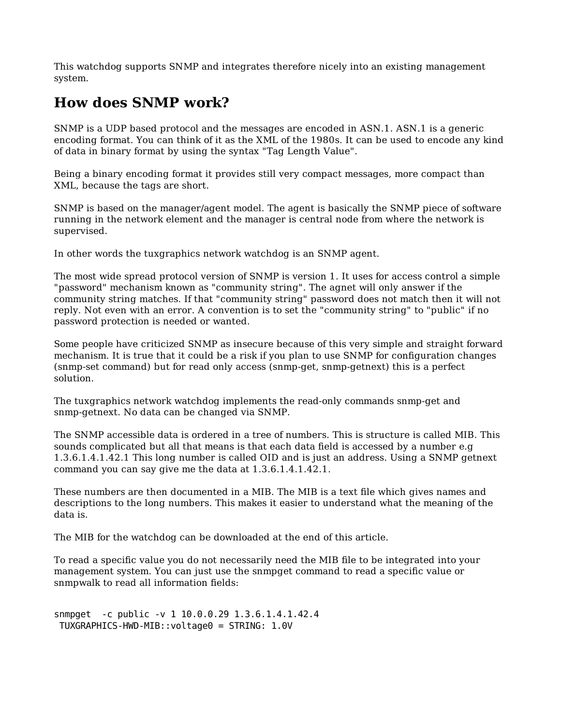This watchdog supports SNMP and integrates therefore nicely into an existing management system.

## **How does SNMP work?**

SNMP is a UDP based protocol and the messages are encoded in ASN.1. ASN.1 is a generic encoding format. You can think of it as the XML of the 1980s. It can be used to encode any kind of data in binary format by using the syntax "Tag Length Value".

Being a binary encoding format it provides still very compact messages, more compact than XML, because the tags are short.

SNMP is based on the manager/agent model. The agent is basically the SNMP piece of software running in the network element and the manager is central node from where the network is supervised.

In other words the tuxgraphics network watchdog is an SNMP agent.

The most wide spread protocol version of SNMP is version 1. It uses for access control a simple "password" mechanism known as "community string". The agnet will only answer if the community string matches. If that "community string" password does not match then it will not reply. Not even with an error. A convention is to set the "community string" to "public" if no password protection is needed or wanted.

Some people have criticized SNMP as insecure because of this very simple and straight forward mechanism. It is true that it could be a risk if you plan to use SNMP for configuration changes (snmp-set command) but for read only access (snmp-get, snmp-getnext) this is a perfect solution.

The tuxgraphics network watchdog implements the read-only commands snmp-get and snmp-getnext. No data can be changed via SNMP.

The SNMP accessible data is ordered in a tree of numbers. This is structure is called MIB. This sounds complicated but all that means is that each data field is accessed by a number e.g 1.3.6.1.4.1.42.1 This long number is called OID and is just an address. Using a SNMP getnext command you can say give me the data at 1.3.6.1.4.1.42.1.

These numbers are then documented in a MIB. The MIB is a text file which gives names and descriptions to the long numbers. This makes it easier to understand what the meaning of the data is.

The MIB for the watchdog can be downloaded at the end of this article.

To read a specific value you do not necessarily need the MIB file to be integrated into your management system. You can just use the snmpget command to read a specific value or snmpwalk to read all information fields:

snmpget -c public -v 1 10.0.0.29 1.3.6.1.4.1.42.4 TUXGRAPHICS-HWD-MIB::voltage0 = STRING: 1.0V